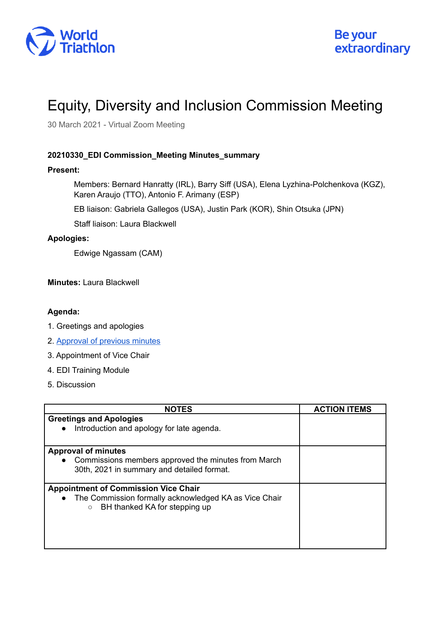

# Equity, Diversity and Inclusion Commission Meeting

30 March 2021 - Virtual Zoom Meeting

## **20210330\_EDI Commission\_Meeting Minutes\_summary**

## **Present:**

Members: Bernard Hanratty (IRL), Barry Siff (USA), Elena Lyzhina-Polchenkova (KGZ), Karen Araujo (TTO), Antonio F. Arimany (ESP)

EB liaison: Gabriela Gallegos (USA), Justin Park (KOR), Shin Otsuka (JPN)

Staff liaison: Laura Blackwell

## **Apologies:**

Edwige Ngassam (CAM)

**Minutes:** Laura Blackwell

## **Agenda:**

- 1. Greetings and apologies
- 2. [Approval](https://drive.google.com/drive/u/0/folders/1Qz7j5ZzFj5UDolCRg1QmIT9VOtOpnOTW) of previous minutes
- 3. Appointment of Vice Chair
- 4. EDI Training Module
- 5. Discussion

| <b>NOTES</b>                                                                                      | <b>ACTION ITEMS</b> |
|---------------------------------------------------------------------------------------------------|---------------------|
| <b>Greetings and Apologies</b>                                                                    |                     |
| Introduction and apology for late agenda.<br>$\bullet$                                            |                     |
| <b>Approval of minutes</b>                                                                        |                     |
| Commissions members approved the minutes from March<br>$\bullet$                                  |                     |
| 30th, 2021 in summary and detailed format.                                                        |                     |
| <b>Appointment of Commission Vice Chair</b>                                                       |                     |
| The Commission formally acknowledged KA as Vice Chair<br>BH thanked KA for stepping up<br>$\circ$ |                     |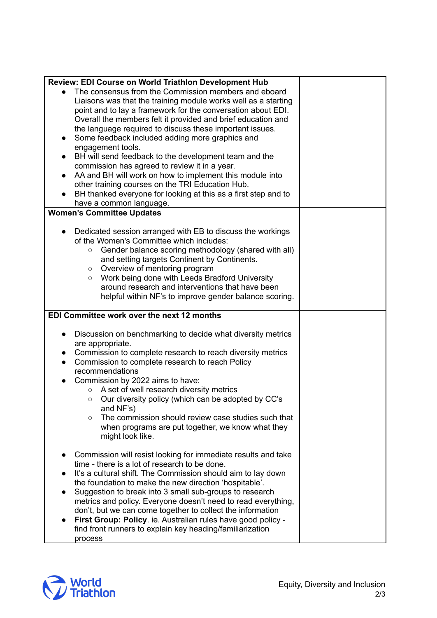| <b>Review: EDI Course on World Triathlon Development Hub</b>                                                              |  |
|---------------------------------------------------------------------------------------------------------------------------|--|
| The consensus from the Commission members and eboard                                                                      |  |
| Liaisons was that the training module works well as a starting                                                            |  |
| point and to lay a framework for the conversation about EDI.                                                              |  |
| Overall the members felt it provided and brief education and                                                              |  |
| the language required to discuss these important issues.                                                                  |  |
| Some feedback included adding more graphics and<br>$\bullet$                                                              |  |
| engagement tools.                                                                                                         |  |
| BH will send feedback to the development team and the<br>$\bullet$                                                        |  |
| commission has agreed to review it in a year.                                                                             |  |
| AA and BH will work on how to implement this module into<br>$\bullet$                                                     |  |
| other training courses on the TRI Education Hub.                                                                          |  |
| BH thanked everyone for looking at this as a first step and to                                                            |  |
| have a common language.                                                                                                   |  |
| <b>Women's Committee Updates</b>                                                                                          |  |
|                                                                                                                           |  |
| Dedicated session arranged with EB to discuss the workings                                                                |  |
| of the Women's Committee which includes:                                                                                  |  |
| Gender balance scoring methodology (shared with all)<br>$\circ$                                                           |  |
| and setting targets Continent by Continents.                                                                              |  |
| Overview of mentoring program<br>$\circ$                                                                                  |  |
| Work being done with Leeds Bradford University<br>$\circ$                                                                 |  |
| around research and interventions that have been                                                                          |  |
| helpful within NF's to improve gender balance scoring.                                                                    |  |
|                                                                                                                           |  |
| EDI Committee work over the next 12 months                                                                                |  |
| $\bullet$                                                                                                                 |  |
| Discussion on benchmarking to decide what diversity metrics<br>are appropriate.                                           |  |
| Commission to complete research to reach diversity metrics<br>$\bullet$                                                   |  |
| Commission to complete research to reach Policy<br>$\bullet$                                                              |  |
| recommendations                                                                                                           |  |
| Commission by 2022 aims to have:                                                                                          |  |
| A set of well research diversity metrics<br>$\circ$                                                                       |  |
| Our diversity policy (which can be adopted by CC's<br>$\circ$                                                             |  |
| and NF's)                                                                                                                 |  |
| The commission should review case studies such that<br>$\circ$                                                            |  |
| when programs are put together, we know what they                                                                         |  |
| might look like.                                                                                                          |  |
|                                                                                                                           |  |
| Commission will resist looking for immediate results and take                                                             |  |
| time - there is a lot of research to be done.                                                                             |  |
| It's a cultural shift. The Commission should aim to lay down                                                              |  |
| the foundation to make the new direction 'hospitable'.                                                                    |  |
| Suggestion to break into 3 small sub-groups to research                                                                   |  |
| metrics and policy. Everyone doesn't need to read everything,                                                             |  |
| don't, but we can come together to collect the information                                                                |  |
| First Group: Policy. ie. Australian rules have good policy -<br>find front runners to explain key heading/familiarization |  |